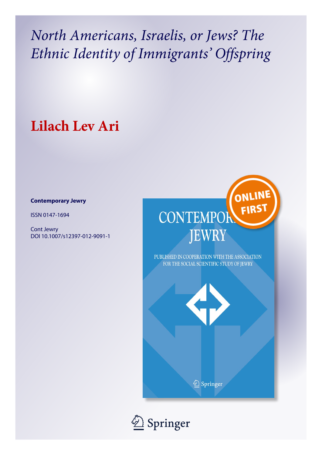*North Americans, Israelis, or Jews? The Ethnic Identity of Immigrants' Offspring*

# **Lilach Lev Ari**

# **Contemporary Jewry**

ISSN 0147-1694

Cont Jewry DOI 10.1007/s12397-012-9091-1



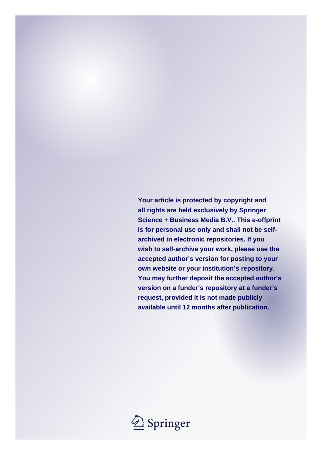**Your article is protected by copyright and all rights are held exclusively by Springer Science + Business Media B.V.. This e-offprint is for personal use only and shall not be selfarchived in electronic repositories. If you wish to self-archive your work, please use the accepted author's version for posting to your own website or your institution's repository. You may further deposit the accepted author's version on a funder's repository at a funder's request, provided it is not made publicly available until 12 months after publication.**

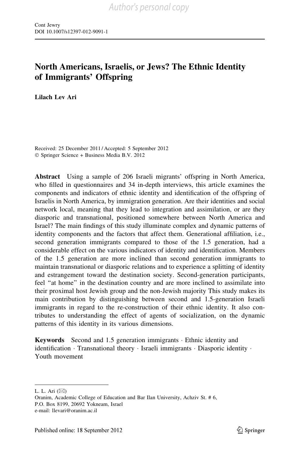# North Americans, Israelis, or Jews? The Ethnic Identity of Immigrants' Offspring

Lilach Lev Ari

Received: 25 December 2011 / Accepted: 5 September 2012 - Springer Science + Business Media B.V. 2012

Abstract Using a sample of 206 Israeli migrants' offspring in North America, who filled in questionnaires and 34 in-depth interviews, this article examines the components and indicators of ethnic identity and identification of the offspring of Israelis in North America, by immigration generation. Are their identities and social network local, meaning that they lead to integration and assimilation, or are they diasporic and transnational, positioned somewhere between North America and Israel? The main findings of this study illuminate complex and dynamic patterns of identity components and the factors that affect them. Generational affiliation, i.e., second generation immigrants compared to those of the 1.5 generation, had a considerable effect on the various indicators of identity and identification. Members of the 1.5 generation are more inclined than second generation immigrants to maintain transnational or diasporic relations and to experience a splitting of identity and estrangement toward the destination society. Second-generation participants, feel ''at home'' in the destination country and are more inclined to assimilate into their proximal host Jewish group and the non-Jewish majority This study makes its main contribution by distinguishing between second and 1.5-generation Israeli immigrants in regard to the re-construction of their ethnic identity. It also contributes to understanding the effect of agents of socialization, on the dynamic patterns of this identity in its various dimensions.

Keywords Second and 1.5 generation immigrants - Ethnic identity and identification - Transnational theory - Israeli immigrants - Diasporic identity - Youth movement

L. L. Ari  $(\boxtimes)$ 

Oranim, Academic College of Education and Bar Ilan University, Achziv St. # 6, P.O. Box 8199, 20692 Yokneam, Israel e-mail: llevari@oranim.ac.il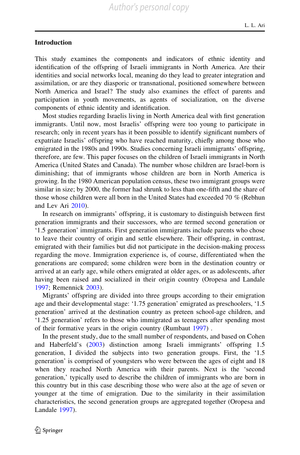# Introduction

This study examines the components and indicators of ethnic identity and identification of the offspring of Israeli immigrants in North America. Are their identities and social networks local, meaning do they lead to greater integration and assimilation, or are they diasporic or transnational, positioned somewhere between North America and Israel? The study also examines the effect of parents and participation in youth movements, as agents of socialization, on the diverse components of ethnic identity and identification.

Most studies regarding Israelis living in North America deal with first generation immigrants. Until now, most Israelis' offspring were too young to participate in research; only in recent years has it been possible to identify significant numbers of expatriate Israelis' offspring who have reached maturity, chiefly among those who emigrated in the 1980s and 1990s. Studies concerning Israeli immigrants' offspring, therefore, are few. This paper focuses on the children of Israeli immigrants in North America (United States and Canada). The number whose children are Israel-born is diminishing; that of immigrants whose children are born in North America is growing. In the 1980 American population census, these two immigrant groups were similar in size; by 2000, the former had shrunk to less than one-fifth and the share of those whose children were all born in the United States had exceeded 70 % (Rebhun and Lev Ari [2010](#page-24-0)).

In research on immigrants' offspring, it is customary to distinguish between first generation immigrants and their successors, who are termed second generation or '1.5 generation' immigrants. First generation immigrants include parents who chose to leave their country of origin and settle elsewhere. Their offspring, in contrast, emigrated with their families but did not participate in the decision-making process regarding the move. Immigration experience is, of course, differentiated when the generations are compared; some children were born in the destination country or arrived at an early age, while others emigrated at older ages, or as adolescents, after having been raised and socialized in their origin country (Oropesa and Landale [1997;](#page-24-0) Remennick [2003](#page-24-0)).

Migrants' offspring are divided into three groups according to their emigration age and their developmental stage: '1.75 generation' emigrated as preschoolers, '1.5 generation' arrived at the destination country as preteen school-age children, and '1.25 generation' refers to those who immigrated as teenagers after spending most of their formative years in the origin country (Rumbaut [1997](#page-24-0)) .

In the present study, due to the small number of respondents, and based on Cohen and Haberfeld's [\(2003](#page-23-0)) distinction among Israeli immigrants' offspring 1.5 generation, I divided the subjects into two generation groups. First, the '1.5 generation' is comprised of youngsters who were between the ages of eight and 18 when they reached North America with their parents. Next is the 'second generation,' typically used to describe the children of immigrants who are born in this country but in this case describing those who were also at the age of seven or younger at the time of emigration. Due to the similarity in their assimilation characteristics, the second generation groups are aggregated together (Oropesa and Landale [1997\)](#page-24-0).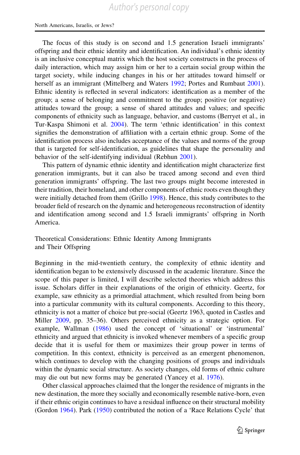The focus of this study is on second and 1.5 generation Israeli immigrants' offspring and their ethnic identity and identification. An individual's ethnic identity is an inclusive conceptual matrix which the host society constructs in the process of daily interaction, which may assign him or her to a certain social group within the target society, while inducing changes in his or her attitudes toward himself or herself as an immigrant (Mittelberg and Waters [1992](#page-24-0); Portes and Rumbaut [2001\)](#page-24-0). Ethnic identity is reflected in several indicators: identification as a member of the group; a sense of belonging and commitment to the group; positive (or negative) attitudes toward the group; a sense of shared attitudes and values; and specific components of ethnicity such as language, behavior, and customs (Berryet et al., in Tur-Kaspa Shimoni et al. [2004](#page-24-0)). The term 'ethnic identification' in this context signifies the demonstration of affiliation with a certain ethnic group. Some of the identification process also includes acceptance of the values and norms of the group that is targeted for self-identification, as guidelines that shape the personality and behavior of the self-identifying individual (Rebhun [2001](#page-24-0)).

This pattern of dynamic ethnic identity and identification might characterize first generation immigrants, but it can also be traced among second and even third generation immigrants' offspring. The last two groups might become interested in their tradition, their homeland, and other components of ethnic roots even though they were initially detached from them (Grillo [1998\)](#page-23-0). Hence, this study contributes to the broader field of research on the dynamic and heterogeneous reconstruction of identity and identification among second and 1.5 Israeli immigrants' offspring in North America.

Theoretical Considerations: Ethnic Identity Among Immigrants and Their Offspring

Beginning in the mid-twentieth century, the complexity of ethnic identity and identification began to be extensively discussed in the academic literature. Since the scope of this paper is limited, I will describe selected theories which address this issue. Scholars differ in their explanations of the origin of ethnicity. Geertz, for example, saw ethnicity as a primordial attachment, which resulted from being born into a particular community with its cultural components. According to this theory, ethnicity is not a matter of choice but pre-social (Geertz 1963, quoted in Castles and Miller [2009](#page-22-0), pp. 35–36). Others perceived ethnicity as a strategic option. For example, Wallman ([1986\)](#page-24-0) used the concept of 'situational' or 'instrumental' ethnicity and argued that ethnicity is invoked whenever members of a specific group decide that it is useful for them or maximizes their group power in terms of competition. In this context, ethnicity is perceived as an emergent phenomenon, which continues to develop with the changing positions of groups and individuals within the dynamic social structure. As society changes, old forms of ethnic culture may die out but new forms may be generated (Yancey et al. [1976\)](#page-24-0).

Other classical approaches claimed that the longer the residence of migrants in the new destination, the more they socially and economically resemble native-born, even if their ethnic origin continues to have a residual influence on their structural mobility (Gordon [1964\)](#page-23-0). Park ([1950\)](#page-24-0) contributed the notion of a 'Race Relations Cycle' that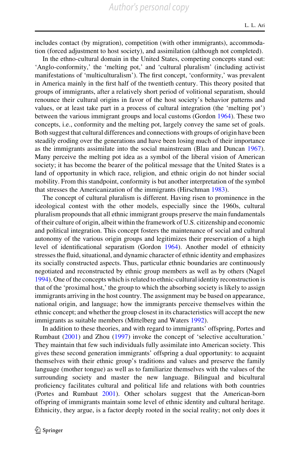includes contact (by migration), competition (with other immigrants), accommodation (forced adjustment to host society), and assimilation (although not completed).

In the ethno-cultural domain in the United States, competing concepts stand out: 'Anglo-conformity,' the 'melting pot,' and 'cultural pluralism' (including activist manifestations of 'multiculturalism'). The first concept, 'conformity,' was prevalent in America mainly in the first half of the twentieth century. This theory posited that groups of immigrants, after a relatively short period of volitional separatism, should renounce their cultural origins in favor of the host society's behavior patterns and values, or at least take part in a process of cultural integration (the 'melting pot') between the various immigrant groups and local customs (Gordon [1964\)](#page-23-0). These two concepts, i.e., conformity and the melting pot, largely convey the same set of goals. Both suggest that cultural differences and connections with groups of origin have been steadily eroding over the generations and have been losing much of their importance as the immigrants assimilate into the social mainstream (Blau and Duncan [1967\)](#page-22-0). Many perceive the melting pot idea as a symbol of the liberal vision of American society; it has become the bearer of the political message that the United States is a land of opportunity in which race, religion, and ethnic origin do not hinder social mobility. From this standpoint, conformity is but another interpretation of the symbol that stresses the Americanization of the immigrants (Hirschman [1983\)](#page-23-0).

The concept of cultural pluralism is different. Having risen to prominence in the ideological contest with the other models, especially since the 1960s, cultural pluralism propounds that all ethnic immigrant groups preserve the main fundamentals of their culture of origin, albeit within the framework of U.S. citizenship and economic and political integration. This concept fosters the maintenance of social and cultural autonomy of the various origin groups and legitimizes their preservation of a high level of identificational separatism (Gordon [1964](#page-23-0)). Another model of ethnicity stresses the fluid, situational, and dynamic character of ethnic identity and emphasizes its socially constructed aspects. Thus, particular ethnic boundaries are continuously negotiated and reconstructed by ethnic group members as well as by others (Nagel [1994\)](#page-24-0). One of the concepts which is related to ethnic-cultural identity reconstruction is that of the 'proximal host,' the group to which the absorbing society is likely to assign immigrants arriving in the host country. The assignment may be based on appearance, national origin, and language; how the immigrants perceive themselves within the ethnic concept; and whether the group closest in its characteristics will accept the new immigrants as suitable members (Mittelberg and Waters [1992](#page-24-0)).

In addition to these theories, and with regard to immigrants' offspring, Portes and Rumbaut ([2001\)](#page-24-0) and Zhou ([1997\)](#page-25-0) invoke the concept of 'selective acculturation.' They maintain that few such individuals fully assimilate into American society. This gives these second generation immigrants' offspring a dual opportunity: to acquaint themselves with their ethnic group's traditions and values and preserve the family language (mother tongue) as well as to familiarize themselves with the values of the surrounding society and master the new language. Bilingual and bicultural proficiency facilitates cultural and political life and relations with both countries (Portes and Rumbaut [2001\)](#page-24-0). Other scholars suggest that the American-born offspring of immigrants maintain some level of ethnic identity and cultural heritage. Ethnicity, they argue, is a factor deeply rooted in the social reality; not only does it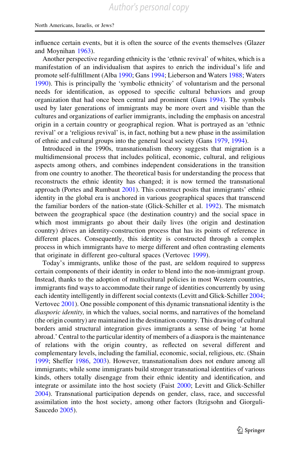influence certain events, but it is often the source of the events themselves (Glazer and Moynihan [1963](#page-23-0)).

Another perspective regarding ethnicity is the 'ethnic revival' of whites, which is a manifestation of an individualism that aspires to enrich the individual's life and promote self-fulfillment (Alba [1990;](#page-22-0) Gans [1994](#page-23-0); Lieberson and Waters [1988](#page-23-0); Waters [1990\)](#page-24-0). This is principally the 'symbolic ethnicity' of voluntarism and the personal needs for identification, as opposed to specific cultural behaviors and group organization that had once been central and prominent (Gans [1994\)](#page-23-0). The symbols used by later generations of immigrants may be more overt and visible than the cultures and organizations of earlier immigrants, including the emphasis on ancestral origin in a certain country or geographical region. What is portrayed as an 'ethnic revival' or a 'religious revival' is, in fact, nothing but a new phase in the assimilation of ethnic and cultural groups into the general local society (Gans [1979,](#page-23-0) [1994\)](#page-23-0).

Introduced in the 1990s, transnationalism theory suggests that migration is a multidimensional process that includes political, economic, cultural, and religious aspects among others, and combines independent considerations in the transition from one country to another. The theoretical basis for understanding the process that reconstructs the ethnic identity has changed; it is now termed the transnational approach (Portes and Rumbaut [2001\)](#page-24-0). This construct posits that immigrants' ethnic identity in the global era is anchored in various geographical spaces that transcend the familiar borders of the nation-state (Glick-Schiller et al. [1992\)](#page-23-0). The mismatch between the geographical space (the destination country) and the social space in which most immigrants go about their daily lives (the origin and destination country) drives an identity-construction process that has its points of reference in different places. Consequently, this identity is constructed through a complex process in which immigrants have to merge different and often contrasting elements that originate in different geo-cultural spaces (Vertovec [1999\)](#page-24-0).

Today's immigrants, unlike those of the past, are seldom required to suppress certain components of their identity in order to blend into the non-immigrant group. Instead, thanks to the adoption of multicultural policies in most Western countries, immigrants find ways to accommodate their range of identities concurrently by using each identity intelligently in different social contexts (Levitt and Glick-Schiller [2004;](#page-23-0) Vertovec [2001\)](#page-24-0). One possible component of this dynamic transnational identity is the diasporic identity, in which the values, social norms, and narratives of the homeland (the origin country) are maintained in the destination country. This drawing of cultural borders amid structural integration gives immigrants a sense of being 'at home abroad.' Central to the particular identity of members of a diaspora is the maintenance of relations with the origin country, as reflected on several different and complementary levels, including the familial, economic, social, religious, etc. (Shain [1999;](#page-24-0) Sheffer [1986](#page-24-0), [2003](#page-24-0)). However, transnationalism does not endure among all immigrants; while some immigrants build stronger transnational identities of various kinds, others totally disengage from their ethnic identity and identification, and integrate or assimilate into the host society (Faist [2000](#page-23-0); Levitt and Glick-Schiller [2004\)](#page-23-0). Transnational participation depends on gender, class, race, and successful assimilation into the host society, among other factors (Itzigsohn and Giorguli-Saucedo [2005](#page-23-0)).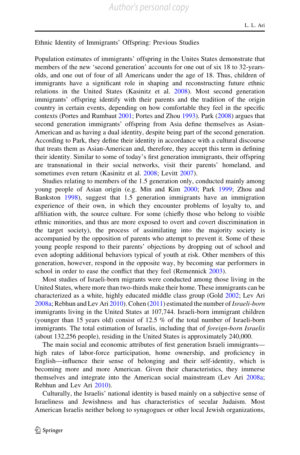Ethnic Identity of Immigrants' Offspring: Previous Studies

Population estimates of immigrants' offspring in the Unites States demonstrate that members of the new 'second generation' accounts for one out of six 18 to 32-yearsolds, and one out of four of all Americans under the age of 18. Thus, children of immigrants have a significant role in shaping and reconstructing future ethnic relations in the United States (Kasinitz et al. [2008](#page-23-0)). Most second generation immigrants' offspring identify with their parents and the tradition of the origin country in certain events, depending on how comfortable they feel in the specific contexts (Portes and Rumbaut [2001;](#page-24-0) Portes and Zhou [1993\)](#page-24-0). Park ([2008\)](#page-24-0) argues that second generation immigrants' offspring from Asia define themselves as Asian-American and as having a dual identity, despite being part of the second generation. According to Park, they define their identity in accordance with a cultural discourse that treats them as Asian-American and, therefore, they accept this term in defining their identity. Similar to some of today's first generation immigrants, their offspring are transnational in their social networks, visit their parents' homeland, and sometimes even return (Kasinitz et al. [2008](#page-23-0); Levitt [2007\)](#page-23-0).

Studies relating to members of the 1.5 generation only, conducted mainly among young people of Asian origin (e.g. Min and Kim [2000](#page-23-0); Park [1999](#page-24-0); Zhou and Bankston [1998](#page-25-0)), suggest that 1.5 generation immigrants have an immigration experience of their own, in which they encounter problems of loyalty to, and affiliation with, the source culture. For some (chiefly those who belong to visible ethnic minorities, and thus are more exposed to overt and covert discrimination in the target society), the process of assimilating into the majority society is accompanied by the opposition of parents who attempt to prevent it. Some of these young people respond to their parents' objections by dropping out of school and even adopting additional behaviors typical of youth at risk. Other members of this generation, however, respond in the opposite way, by becoming star performers in school in order to ease the conflict that they feel (Remennick [2003](#page-24-0)).

Most studies of Israeli-born migrants were conducted among those living in the United States, where more than two-thirds make their home. These immigrants can be characterized as a white, highly educated middle class group (Gold [2002](#page-23-0); Lev Ari  $2008a$ ; Rebhun and Lev Ari  $2010$ ). Cohen  $(2011)$  $(2011)$  estimated the number of *Israeli-born* immigrants living in the United States at 107,744. Israeli-born immigrant children (younger than 15 years old) consist of 12.5 % of the total number of Israeli-born immigrants. The total estimation of Israelis, including that of foreign-born Israelis (about 132,256 people), residing in the United States is approximately 240,000.

The main social and economic attributes of first generation Israeli immigrants high rates of labor-force participation, home ownership, and proficiency in English—influence their sense of belonging and their self-identity, which is becoming more and more American. Given their characteristics, they immerse themselves and integrate into the American social mainstream (Lev Ari [2008a;](#page-23-0) Rebhun and Lev Ari [2010\)](#page-24-0).

Culturally, the Israelis' national identity is based mainly on a subjective sense of Israeliness and Jewishness and has characteristics of secular Judaism. Most American Israelis neither belong to synagogues or other local Jewish organizations,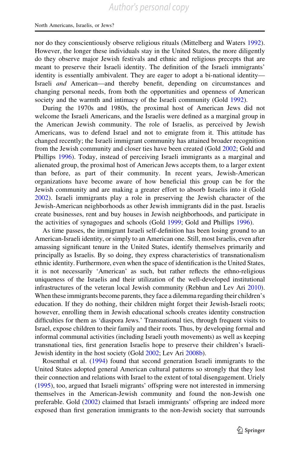nor do they conscientiously observe religious rituals (Mittelberg and Waters [1992\)](#page-24-0). However, the longer these individuals stay in the United States, the more diligently do they observe major Jewish festivals and ethnic and religious precepts that are meant to preserve their Israeli identity. The definition of the Israeli immigrants' identity is essentially ambivalent. They are eager to adopt a bi-national identity— Israeli and American—and thereby benefit, depending on circumstances and changing personal needs, from both the opportunities and openness of American society and the warmth and intimacy of the Israeli community (Gold [1992](#page-23-0)).

During the 1970s and 1980s, the proximal host of American Jews did not welcome the Israeli Americans, and the Israelis were defined as a marginal group in the American Jewish community. The role of Israelis, as perceived by Jewish Americans, was to defend Israel and not to emigrate from it. This attitude has changed recently; the Israeli immigrant community has attained broader recognition from the Jewish community and closer ties have been created (Gold [2002;](#page-23-0) Gold and Phillips [1996](#page-23-0)). Today, instead of perceiving Israeli immigrants as a marginal and alienated group, the proximal host of American Jews accepts them, to a larger extent than before, as part of their community. In recent years, Jewish-American organizations have become aware of how beneficial this group can be for the Jewish community and are making a greater effort to absorb Israelis into it (Gold [2002\)](#page-23-0). Israeli immigrants play a role in preserving the Jewish character of the Jewish-American neighborhoods as other Jewish immigrants did in the past. Israelis create businesses, rent and buy houses in Jewish neighborhoods, and participate in the activities of synagogues and schools (Gold [1999](#page-23-0); Gold and Phillips [1996](#page-23-0)).

As time passes, the immigrant Israeli self-definition has been losing ground to an American-Israeli identity, or simply to an American one. Still, most Israelis, even after amassing significant tenure in the United States, identify themselves primarily and principally as Israelis. By so doing, they express characteristics of transnationalism ethnic identity. Furthermore, even when the space of identification is the United States, it is not necessarily 'American' as such, but rather reflects the ethno-religious uniqueness of the Israelis and their utilization of the well-developed institutional infrastructures of the veteran local Jewish community (Rebhun and Lev Ari [2010\)](#page-24-0). When these immigrants become parents, they face a dilemma regarding their children's education. If they do nothing, their children might forget their Jewish-Israeli roots; however, enrolling them in Jewish educational schools creates identity construction difficulties for them as 'diaspora Jews.' Transnational ties, through frequent visits to Israel, expose children to their family and their roots. Thus, by developing formal and informal communal activities (including Israeli youth movements) as well as keeping transnational ties, first generation Israelis hope to preserve their children's Israeli-Jewish identity in the host society (Gold [2002](#page-23-0); Lev Ari [2008b\)](#page-23-0).

Rosenthal et al. ([1994](#page-24-0)) found that second generation Israeli immigrants to the United States adopted general American cultural patterns so strongly that they lost their connection and relations with Israel to the extent of total disengagement. Uriely [\(1995](#page-24-0)), too, argued that Israeli migrants' offspring were not interested in immersing themselves in the American-Jewish community and found the non-Jewish one preferable. Gold ([2002\)](#page-23-0) claimed that Israeli immigrants' offspring are indeed more exposed than first generation immigrants to the non-Jewish society that surrounds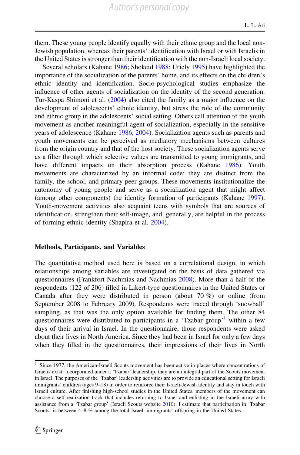them. These young people identify equally with their ethnic group and the local non-Jewish population, whereas their parents' identification with Israel or with Israelis in the United States is stronger than their identification with the non-Israeli local society.

Several scholars (Kahane [1986;](#page-23-0) Shokeid [1988](#page-24-0); Uriely [1995\)](#page-24-0) have highlighted the importance of the socialization of the parents' home, and its effects on the children's ethnic identity and identification. Socio-psychological studies emphasize the influence of other agents of socialization on the identity of the second generation. Tur-Kaspa Shimoni et al. ([2004\)](#page-24-0) also cited the family as a major influence on the development of adolescents' ethnic identity, but stress the role of the community and ethnic group in the adolescents' social setting. Others call attention to the youth movement as another meaningful agent of socialization, especially in the sensitive years of adolescence (Kahane [1986](#page-23-0), [2004\)](#page-23-0). Socialization agents such as parents and youth movements can be perceived as mediatory mechanisms between cultures from the origin country and that of the host society. These socialization agents serve as a filter through which selective values are transmitted to young immigrants, and have different impacts on their absorption process (Kahane [1986](#page-23-0)). Youth movements are characterized by an informal code; they are distinct from the family, the school, and primary peer groups. These movements institutionalize the autonomy of young people and serve as a socialization agent that might affect (among other components) the identity formation of participants (Kahane [1997\)](#page-23-0). Youth-movement activities also acquaint teens with symbols that are sources of identification, strengthen their self-image, and, generally, are helpful in the process of forming ethnic identity (Shapira et al. [2004\)](#page-24-0).

# Methods, Participants, and Variables

The quantitative method used here is based on a correlational design, in which relationships among variables are investigated on the basis of data gathered via questionnaires (Frankfort-Nachmias and Nachmias [2008\)](#page-23-0). More than a half of the respondents (122 of 206) filled in Likert-type questionnaires in the United States or Canada after they were distributed in person (about 70 %) or online (from September 2008 to February 2009). Respondents were traced through 'snowball' sampling, as that was the only option available for finding them. The other 84 questionnaires were distributed to participants in a 'Tzabar group' within a few days of their arrival in Israel. In the questionnaire, those respondents were asked about their lives in North America. Since they had been in Israel for only a few days when they filled in the questionnaires, their impressions of their lives in North

<sup>&</sup>lt;sup>1</sup> Since 1977, the American-Israeli Scouts movement has been active in places where concentrations of Israelis exist. Incorporated under a 'Tzabar' leadership, they are an integral part of the Scouts movement in Israel. The purposes of the 'Tzabar' leadership activities are to provide an educational setting for Israeli immigrants' children (ages 9–18) in order to reinforce their Israeli-Jewish identity and stay in touch with Israeli culture. After finishing high-school studies in the United States, members of the movement can choose a self-realization track that includes returning to Israel and enlisting in the Israeli army with assistance from a 'Tzabar group' (Israeli Scouts website [2010](#page-23-0)). I estimate that participation in 'Tzabar Scouts' is between 4–8 % among the total Israeli immigrants' offspring in the United States.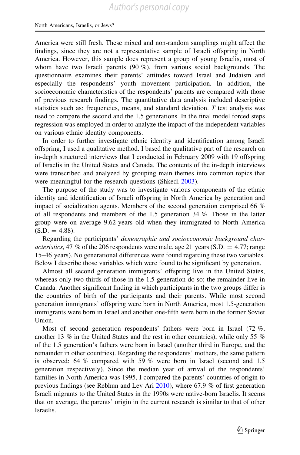America were still fresh. These mixed and non-random samplings might affect the findings, since they are not a representative sample of Israeli offspring in North America. However, this sample does represent a group of young Israelis, most of whom have two Israeli parents (90 %), from various social backgrounds. The questionnaire examines their parents' attitudes toward Israel and Judaism and especially the respondents' youth movement participation. In addition, the socioeconomic characteristics of the respondents' parents are compared with those of previous research findings. The quantitative data analysis included descriptive statistics such as: frequencies, means, and standard deviation.  $T$  test analysis was used to compare the second and the 1.5 generations. In the final model forced steps regression was employed in order to analyze the impact of the independent variables on various ethnic identity components.

In order to further investigate ethnic identity and identification among Israeli offspring, I used a qualitative method. I based the qualitative part of the research on in-depth structured interviews that I conducted in February 2009 with 19 offspring of Israelis in the United States and Canada. The contents of the in-depth interviews were transcribed and analyzed by grouping main themes into common topics that were meaningful for the research questions (Shkedi [2003](#page-24-0)).

The purpose of the study was to investigate various components of the ethnic identity and identification of Israeli offspring in North America by generation and impact of socialization agents. Members of the second generation comprised 66 % of all respondents and members of the 1.5 generation 34 %. Those in the latter group were on average 9.62 years old when they immigrated to North America  $(S.D. = 4.88)$ .

Regarding the participants' demographic and socioeconomic background char*acteristics*, 47 % of the 206 respondents were male, age 21 years (S.D.  $=$  4.77; range 15–46 years). No generational differences were found regarding these two variables. Below I describe those variables which were found to be significant by generation.

Almost all second generation immigrants' offspring live in the United States, whereas only two-thirds of those in the 1.5 generation do so; the remainder live in Canada. Another significant finding in which participants in the two groups differ is the countries of birth of the participants and their parents. While most second generation immigrants' offspring were born in North America, most 1.5-generation immigrants were born in Israel and another one-fifth were born in the former Soviet Union.

Most of second generation respondents' fathers were born in Israel (72 %, another 13 % in the United States and the rest in other countries), while only 55 % of the 1.5 generation's fathers were born in Israel (another third in Europe, and the remainder in other countries). Regarding the respondents' mothers, the same pattern is observed: 64 % compared with 59 % were born in Israel (second and 1.5 generation respectively). Since the median year of arrival of the respondents' families in North America was 1995, I compared the parents' countries of origin to previous findings (see Rebhun and Lev Ari [2010](#page-24-0)), where 67.9 % of first generation Israeli migrants to the United States in the 1990s were native-born Israelis. It seems that on average, the parents' origin in the current research is similar to that of other Israelis.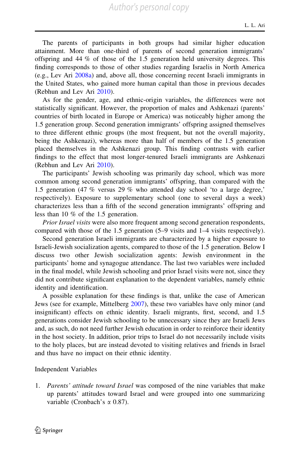The parents of participants in both groups had similar higher education attainment. More than one-third of parents of second generation immigrants' offspring and 44 % of those of the 1.5 generation held university degrees. This finding corresponds to those of other studies regarding Israelis in North America (e.g., Lev Ari [2008a](#page-23-0)) and, above all, those concerning recent Israeli immigrants in the United States, who gained more human capital than those in previous decades (Rebhun and Lev Ari [2010](#page-24-0)).

As for the gender, age, and ethnic-origin variables, the differences were not statistically significant. However, the proportion of males and Ashkenazi (parents' countries of birth located in Europe or America) was noticeably higher among the 1.5 generation group. Second generation immigrants' offspring assigned themselves to three different ethnic groups (the most frequent, but not the overall majority, being the Ashkenazi), whereas more than half of members of the 1.5 generation placed themselves in the Ashkenazi group. This finding contrasts with earlier findings to the effect that most longer-tenured Israeli immigrants are Ashkenazi (Rebhun and Lev Ari [2010](#page-24-0)).

The participants' Jewish schooling was primarily day school, which was more common among second generation immigrants' offspring, than compared with the 1.5 generation (47 % versus 29 % who attended day school 'to a large degree,' respectively). Exposure to supplementary school (one to several days a week) characterizes less than a fifth of the second generation immigrants' offspring and less than 10 % of the 1.5 generation.

Prior Israel visits were also more frequent among second generation respondents, compared with those of the 1.5 generation (5–9 visits and 1–4 visits respectively).

Second generation Israeli immigrants are characterized by a higher exposure to Israeli-Jewish socialization agents, compared to those of the 1.5 generation. Below I discuss two other Jewish socialization agents: Jewish environment in the participants' home and synagogue attendance. The last two variables were included in the final model, while Jewish schooling and prior Israel visits were not, since they did not contribute significant explanation to the dependent variables, namely ethnic identity and identification.

A possible explanation for these findings is that, unlike the case of American Jews (see for example, Mittelberg [2007\)](#page-24-0), these two variables have only minor (and insignificant) effects on ethnic identity. Israeli migrants, first, second, and 1.5 generations consider Jewish schooling to be unnecessary since they are Israeli Jews and, as such, do not need further Jewish education in order to reinforce their identity in the host society. In addition, prior trips to Israel do not necessarily include visits to the holy places, but are instead devoted to visiting relatives and friends in Israel and thus have no impact on their ethnic identity.

## Independent Variables

1. Parents' attitude toward Israel was composed of the nine variables that make up parents' attitudes toward Israel and were grouped into one summarizing variable (Cronbach's  $\alpha$  0.87).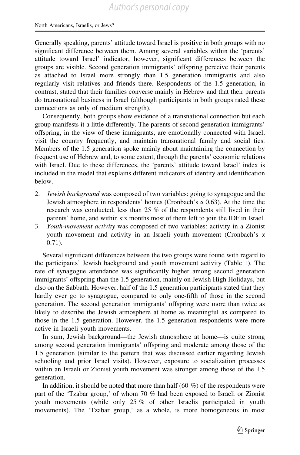Generally speaking, parents' attitude toward Israel is positive in both groups with no significant difference between them. Among several variables within the 'parents' attitude toward Israel' indicator, however, significant differences between the groups are visible. Second generation immigrants' offspring perceive their parents as attached to Israel more strongly than 1.5 generation immigrants and also regularly visit relatives and friends there. Respondents of the 1.5 generation, in contrast, stated that their families converse mainly in Hebrew and that their parents do transnational business in Israel (although participants in both groups rated these connections as only of medium strength).

Consequently, both groups show evidence of a transnational connection but each group manifests it a little differently. The parents of second generation immigrants' offspring, in the view of these immigrants, are emotionally connected with Israel, visit the country frequently, and maintain transnational family and social ties. Members of the 1.5 generation spoke mainly about maintaining the connection by frequent use of Hebrew and, to some extent, through the parents' economic relations with Israel. Due to these differences, the 'parents' attitude toward Israel' index is included in the model that explains different indicators of identity and identification below.

- 2. Jewish background was composed of two variables: going to synagogue and the Jewish atmosphere in respondents' homes (Cronbach's  $\alpha$  0.63). At the time the research was conducted, less than 25 % of the respondents still lived in their parents' home, and within six months most of them left to join the IDF in Israel.
- 3. Youth-movement activity was composed of two variables: activity in a Zionist youth movement and activity in an Israeli youth movement (Cronbach's  $\alpha$ 0.71).

Several significant differences between the two groups were found with regard to the participants' Jewish background and youth movement activity (Table [1](#page-13-0)). The rate of synagogue attendance was significantly higher among second generation immigrants' offspring than the 1.5 generation, mainly on Jewish High Holidays, but also on the Sabbath. However, half of the 1.5 generation participants stated that they hardly ever go to synagogue, compared to only one-fifth of those in the second generation. The second generation immigrants' offspring were more than twice as likely to describe the Jewish atmosphere at home as meaningful as compared to those in the 1.5 generation. However, the 1.5 generation respondents were more active in Israeli youth movements.

In sum, Jewish background—the Jewish atmosphere at home—is quite strong among second generation immigrants' offspring and moderate among those of the 1.5 generation (similar to the pattern that was discussed earlier regarding Jewish schooling and prior Israel visits). However, exposure to socialization processes within an Israeli or Zionist youth movement was stronger among those of the 1.5 generation.

In addition, it should be noted that more than half  $(60\%)$  of the respondents were part of the 'Tzabar group,' of whom 70 % had been exposed to Israeli or Zionist youth movements (while only 25 % of other Israelis participated in youth movements). The 'Tzabar group,' as a whole, is more homogeneous in most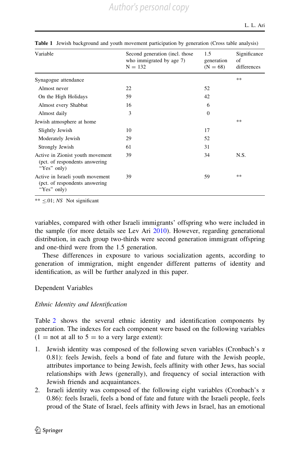| Variable                                                                           | Second generation (incl. those<br>who immigrated by age 7)<br>$N = 132$ | 1.5<br>generation<br>$(N = 68)$ | Significance<br>οf<br>differences |  |
|------------------------------------------------------------------------------------|-------------------------------------------------------------------------|---------------------------------|-----------------------------------|--|
| Synagogue attendance                                                               |                                                                         |                                 | **                                |  |
| Almost never                                                                       | 22                                                                      | 52                              |                                   |  |
| On the High Holidays                                                               | 59                                                                      | 42                              |                                   |  |
| Almost every Shabbat                                                               | 16                                                                      | 6                               |                                   |  |
| Almost daily                                                                       | 3                                                                       | $\overline{0}$                  |                                   |  |
| Jewish atmosphere at home                                                          |                                                                         |                                 | **                                |  |
| Slightly Jewish                                                                    | 10                                                                      | 17                              |                                   |  |
| Moderately Jewish                                                                  | 29                                                                      | 52                              |                                   |  |
| Strongly Jewish                                                                    | 61                                                                      | 31                              |                                   |  |
| Active in Zionist youth movement<br>(pct. of respondents answering)<br>"Yes" only) | 39                                                                      | 34                              | N.S.                              |  |
| Active in Israeli youth movement<br>(pct. of respondents answering<br>"Yes" only)  | 39                                                                      | 59                              | **                                |  |

<span id="page-13-0"></span>

|  |  | <b>Table 1</b> Jewish background and youth movement participation by generation (Cross table analysis) |  |  |  |
|--|--|--------------------------------------------------------------------------------------------------------|--|--|--|
|--|--|--------------------------------------------------------------------------------------------------------|--|--|--|

 $** < 01$ ; NS Not significant

variables, compared with other Israeli immigrants' offspring who were included in the sample (for more details see Lev Ari [2010](#page-23-0)). However, regarding generational distribution, in each group two-thirds were second generation immigrant offspring and one-third were from the 1.5 generation.

These differences in exposure to various socialization agents, according to generation of immigration, might engender different patterns of identity and identification, as will be further analyzed in this paper.

## Dependent Variables

# Ethnic Identity and Identification

Table [2](#page-15-0) shows the several ethnic identity and identification components by generation. The indexes for each component were based on the following variables  $(1 = not at all to 5 = to a very large extent):$ 

- 1. Jewish identity was composed of the following seven variables (Cronbach's  $\alpha$ ) 0.81): feels Jewish, feels a bond of fate and future with the Jewish people, attributes importance to being Jewish, feels affinity with other Jews, has social relationships with Jews (generally), and frequency of social interaction with Jewish friends and acquaintances.
- 2. Israeli identity was composed of the following eight variables (Cronbach's  $\alpha$ ) 0.86): feels Israeli, feels a bond of fate and future with the Israeli people, feels proud of the State of Israel, feels affinity with Jews in Israel, has an emotional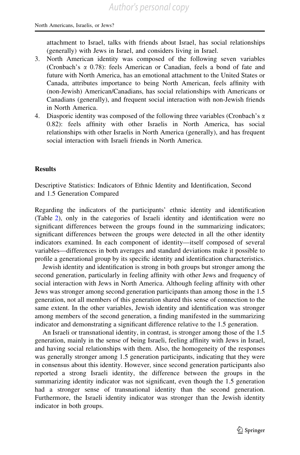attachment to Israel, talks with friends about Israel, has social relationships (generally) with Jews in Israel, and considers living in Israel.

- 3. North American identity was composed of the following seven variables (Cronbach's  $\alpha$  0.78): feels American or Canadian, feels a bond of fate and future with North America, has an emotional attachment to the United States or Canada, attributes importance to being North American, feels affinity with (non-Jewish) American/Canadians, has social relationships with Americans or Canadians (generally), and frequent social interaction with non-Jewish friends in North America.
- 4. Diasporic identity was composed of the following three variables (Cronbach's  $\alpha$ 0.82): feels affinity with other Israelis in North America, has social relationships with other Israelis in North America (generally), and has frequent social interaction with Israeli friends in North America.

# **Results**

Descriptive Statistics: Indicators of Ethnic Identity and Identification, Second and 1.5 Generation Compared

Regarding the indicators of the participants' ethnic identity and identification (Table [2](#page-15-0)), only in the categories of Israeli identity and identification were no significant differences between the groups found in the summarizing indicators; significant differences between the groups were detected in all the other identity indicators examined. In each component of identity—itself composed of several variables—differences in both averages and standard deviations make it possible to profile a generational group by its specific identity and identification characteristics.

Jewish identity and identification is strong in both groups but stronger among the second generation, particularly in feeling affinity with other Jews and frequency of social interaction with Jews in North America. Although feeling affinity with other Jews was stronger among second generation participants than among those in the 1.5 generation, not all members of this generation shared this sense of connection to the same extent. In the other variables, Jewish identity and identification was stronger among members of the second generation, a finding manifested in the summarizing indicator and demonstrating a significant difference relative to the 1.5 generation.

An Israeli or transnational identity, in contrast, is stronger among those of the 1.5 generation, mainly in the sense of being Israeli, feeling affinity with Jews in Israel, and having social relationships with them. Also, the homogeneity of the responses was generally stronger among 1.5 generation participants, indicating that they were in consensus about this identity. However, since second generation participants also reported a strong Israeli identity, the difference between the groups in the summarizing identity indicator was not significant, even though the 1.5 generation had a stronger sense of transnational identity than the second generation. Furthermore, the Israeli identity indicator was stronger than the Jewish identity indicator in both groups.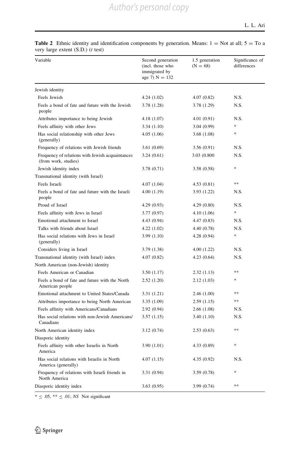| Variable                                                                 | Second generation<br>(incl. those who<br>immigrated by<br>age 7) $N = 132$ | 1.5 generation<br>$(N = 68)$ | Significance of<br>differences |
|--------------------------------------------------------------------------|----------------------------------------------------------------------------|------------------------------|--------------------------------|
| Jewish identity                                                          |                                                                            |                              |                                |
| Feels Jewish                                                             | 4.24(1.02)                                                                 | 4.07(0.82)                   | N.S.                           |
| Feels a bond of fate and future with the Jewish<br>people                | 3.78 (1.28)                                                                | 3.78 (1.29)                  | N.S.                           |
| Attributes importance to being Jewish                                    | 4.18 (1.07)                                                                | 4.01(0.91)                   | N.S.                           |
| Feels affinity with other Jews                                           | 3.34 (1.10)                                                                | 3.04 (0.99)                  | ×.                             |
| Has social relationship with other Jews<br>(generally)                   | 4.05(1.06)                                                                 | 3.68(1.08)                   | ×.                             |
| Frequency of relations with Jewish friends                               | 3.61(0.69)                                                                 | 3.56(0.91)                   | N.S.                           |
| Frequency of relations with Jewish acquaintances<br>(from work, studies) | 3.24(0.61)                                                                 | 3.03 (0.800)                 | N.S.                           |
| Jewish identity index                                                    | 3.78 (0.71)                                                                | 3.58 (0.58)                  | ×.                             |
| Transnational identity (with Israel)                                     |                                                                            |                              |                                |
| Feels Israeli                                                            | 4.07(1.04)                                                                 | 4.53(0.81)                   | **                             |
| Feels a bond of fate and future with the Israeli<br>people               | 4.00(1.19)                                                                 | 3.93 (1.22)                  | N.S.                           |
| Proud of Israel                                                          | 4.29 (0.93)                                                                | 4.29 (0.80)                  | N.S.                           |
| Feels affinity with Jews in Israel                                       | 3.77 (0.97)                                                                | 4.10(1.06)                   | ×.                             |
| Emotional attachment to Israel                                           | 4.43 (0.94)                                                                | 4.47(0.83)                   | N.S.                           |
| Talks with friends about Israel                                          | 4.22(1.02)                                                                 | 4.40(0.78)                   | N.S.                           |
| Has social relations with Jews in Israel<br>(generally)                  | 3.99(1.10)                                                                 | 4.28(0.94)                   | ×.                             |
| Considers living in Israel                                               | 3.79 (1.38)                                                                | 4.00(1.22)                   | N.S.                           |
| Transnational identity (with Israel) index                               | 4.07(0.82)                                                                 | 4.23(0.64)                   | N.S.                           |
| North American (non-Jewish) identity                                     |                                                                            |                              |                                |
| Feels American or Canadian                                               | 3.50 (1.17)                                                                | 2.32(1.13)                   | **                             |
| Feels a bond of fate and future with the North<br>American people        | 2.52 (1.20)                                                                | 2.12(1.03)                   | *                              |
| Emotional attachment to United States/Canada                             | 3.31 (1.21)                                                                | 2.46(1.00)                   | **                             |
| Attributes importance to being North American                            | 3.35(1.09)                                                                 | 2.59(1.15)                   | **                             |
| Feels affinity with Americans/Canadians                                  | 2.92(0.94)                                                                 | 2.66(1.08)                   | N.S.                           |
| Has social relations with non-Jewish Americans/<br>Canadians             | 3.57(1.15)                                                                 | 3.40 (1.10)                  | N.S.                           |
| North American identity index                                            | 3.12 (0.74)                                                                | 2.53(0.63)                   | **                             |
| Diasporic identity                                                       |                                                                            |                              |                                |
| Feels affinity with other Israelis in North<br>America                   | 3.90 (1.01)                                                                | 4.33(0.89)                   | *                              |
| Has social relations with Israelis in North<br>America (generally)       | 4.07(1.15)                                                                 | 4.35 (0.92)                  | N.S.                           |
| Frequency of relations with Israeli friends in<br>North America          | 3.31 (0.94)                                                                | 3.59 (0.78)                  | ×.                             |
| Diasporic identity index                                                 | 3.63 (0.95)                                                                | 3.99 (0.74)                  | **                             |

<span id="page-15-0"></span>

|                                             | <b>Table 2</b> Ethnic identity and identification components by generation. Means: $1 = Not$ at all; $5 = To$ a |  |  |  |
|---------------------------------------------|-----------------------------------------------------------------------------------------------------------------|--|--|--|
| very large extent $(S.D.)$ ( <i>t</i> test) |                                                                                                                 |  |  |  |

 $* \leq .05, ** \leq .01; NS$  Not significant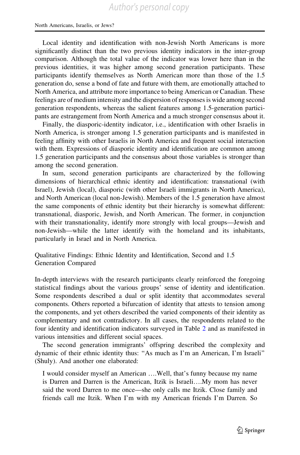Local identity and identification with non-Jewish North Americans is more significantly distinct than the two previous identity indicators in the inter-group comparison. Although the total value of the indicator was lower here than in the previous identities, it was higher among second generation participants. These participants identify themselves as North American more than those of the 1.5 generation do, sense a bond of fate and future with them, are emotionally attached to North America, and attribute more importance to being American or Canadian. These feelings are of medium intensity and the dispersion of responses is wide among second generation respondents, whereas the salient features among 1.5-generation participants are estrangement from North America and a much stronger consensus about it.

Finally, the diasporic-identity indicator, i.e., identification with other Israelis in North America, is stronger among 1.5 generation participants and is manifested in feeling affinity with other Israelis in North America and frequent social interaction with them. Expressions of diasporic identity and identification are common among 1.5 generation participants and the consensus about those variables is stronger than among the second generation.

In sum, second generation participants are characterized by the following dimensions of hierarchical ethnic identity and identification: transnational (with Israel), Jewish (local), diasporic (with other Israeli immigrants in North America), and North American (local non-Jewish). Members of the 1.5 generation have almost the same components of ethnic identity but their hierarchy is somewhat different: transnational, diasporic, Jewish, and North American. The former, in conjunction with their transnationality, identify more strongly with local groups—Jewish and non-Jewish—while the latter identify with the homeland and its inhabitants, particularly in Israel and in North America.

Qualitative Findings: Ethnic Identity and Identification, Second and 1.5 Generation Compared

In-depth interviews with the research participants clearly reinforced the foregoing statistical findings about the various groups' sense of identity and identification. Some respondents described a dual or split identity that accommodates several components. Others reported a bifurcation of identity that attests to tension among the components, and yet others described the varied components of their identity as complementary and not contradictory. In all cases, the respondents related to the four identity and identification indicators surveyed in Table [2](#page-15-0) and as manifested in various intensities and different social spaces.

The second generation immigrants' offspring described the complexity and dynamic of their ethnic identity thus: ''As much as I'm an American, I'm Israeli'' (Shuly). And another one elaborated:

I would consider myself an American ….Well, that's funny because my name is Darren and Darren is the American, Itzik is Israeli….My mom has never said the word Darren to me once—she only calls me Itzik. Close family and friends call me Itzik. When I'm with my American friends I'm Darren. So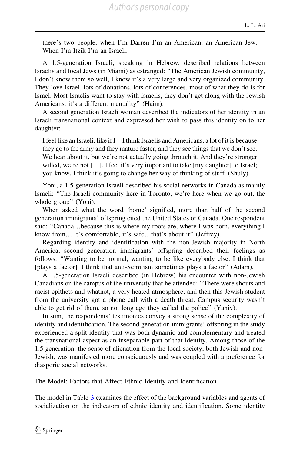there's two people, when I'm Darren I'm an American, an American Jew. When I'm Itzik I'm an Israeli.

A 1.5-generation Israeli, speaking in Hebrew, described relations between Israelis and local Jews (in Miami) as estranged: ''The American Jewish community, I don't know them so well, I know it's a very large and very organized community. They love Israel, lots of donations, lots of conferences, most of what they do is for Israel. Most Israelis want to stay with Israelis, they don't get along with the Jewish Americans, it's a different mentality'' (Haim).

A second generation Israeli woman described the indicators of her identity in an Israeli transnational context and expressed her wish to pass this identity on to her daughter:

I feel like an Israeli, like if I—I think Israelis and Americans, a lot of it is because they go to the army and they mature faster, and they see things that we don't see. We hear about it, but we're not actually going through it. And they're stronger willed, we're not [...]. I feel it's very important to take [my daughter] to Israel; you know, I think it's going to change her way of thinking of stuff. (Shuly)

Yoni, a 1.5-generation Israeli described his social networks in Canada as mainly Israeli: ''The Israeli community here in Toronto, we're here when we go out, the whole group'' (Yoni).

When asked what the word 'home' signified, more than half of the second generation immigrants' offspring cited the United States or Canada. One respondent said: "Canada...because this is where my roots are, where I was born, everything I know from....It's comfortable, it's safe...that's about it" (Jeffrey).

Regarding identity and identification with the non-Jewish majority in North America, second generation immigrants' offspring described their feelings as follows: ''Wanting to be normal, wanting to be like everybody else. I think that [plays a factor]. I think that anti-Semitism sometimes plays a factor'' (Adam).

A 1.5-generation Israeli described (in Hebrew) his encounter with non-Jewish Canadians on the campus of the university that he attended: ''There were shouts and racist epithets and whatnot, a very heated atmosphere, and then this Jewish student from the university got a phone call with a death threat. Campus security wasn't able to get rid of them, so not long ago they called the police'' (Yaniv).

In sum, the respondents' testimonies convey a strong sense of the complexity of identity and identification. The second generation immigrants' offspring in the study experienced a split identity that was both dynamic and complementary and treated the transnational aspect as an inseparable part of that identity. Among those of the 1.5 generation, the sense of alienation from the local society, both Jewish and non-Jewish, was manifested more conspicuously and was coupled with a preference for diasporic social networks.

The Model: Factors that Affect Ethnic Identity and Identification

The model in Table [3](#page-18-0) examines the effect of the background variables and agents of socialization on the indicators of ethnic identity and identification. Some identity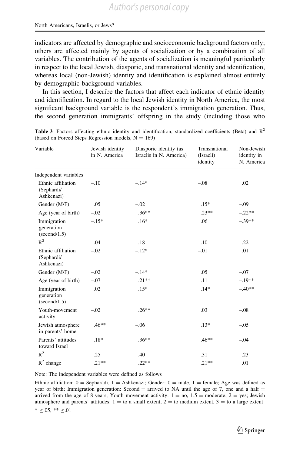<span id="page-18-0"></span>indicators are affected by demographic and socioeconomic background factors only; others are affected mainly by agents of socialization or by a combination of all variables. The contribution of the agents of socialization is meaningful particularly in respect to the local Jewish, diasporic, and transnational identity and identification, whereas local (non-Jewish) identity and identification is explained almost entirely by demographic background variables.

In this section, I describe the factors that affect each indicator of ethnic identity and identification. In regard to the local Jewish identity in North America, the most significant background variable is the respondent's immigration generation. Thus, the second generation immigrants' offspring in the study (including those who

| Variable                                       | Jewish identity<br>in N. America | Diasporic identity (as<br>Israelis in N. America) | Transnational<br>(Israeli)<br>identity | Non-Jewish<br>identity in<br>N. America |  |
|------------------------------------------------|----------------------------------|---------------------------------------------------|----------------------------------------|-----------------------------------------|--|
| Independent variables                          |                                  |                                                   |                                        |                                         |  |
| Ethnic affiliation<br>(Sephardi/<br>Ashkenazi) | $-.10$                           | $-.14*$                                           | $-.08$                                 | .02                                     |  |
| Gender (M/F)                                   | .05                              | $-.02$                                            | $.15*$                                 | $-.09$                                  |  |
| Age (year of birth)                            | $-.02$                           | $.36**$                                           | $.23**$                                | $-.22**$                                |  |
| Immigration<br>generation<br>(second/1.5)      | $-.15*$                          | $.16*$                                            | .06                                    | $-.39**$                                |  |
| $R^2$                                          | .04                              | .18                                               | .10                                    | .22                                     |  |
| Ethnic affiliation<br>(Sephardi/<br>Ashkenazi) | $-.02$                           | $-.12*$                                           | $-.01$                                 | .01                                     |  |
| Gender (M/F)                                   | $-.02$                           | $-.14*$                                           | .05                                    | $-.07$                                  |  |
| Age (year of birth)                            | $-.07$                           | $.21**$                                           | .11                                    | $-.19**$                                |  |
| Immigration<br>generation<br>(second/1.5)      | .02                              | $.15*$                                            | $.14*$                                 | $-.40**$                                |  |
| Youth-movement<br>activity                     | $-.02$                           | $.26**$                                           | .03                                    | $-.08$                                  |  |
| Jewish atmosphere<br>in parents' home          | $.46**$                          | $-.06$                                            | $.13*$                                 | $-.05$                                  |  |
| Parents' attitudes<br>toward Israel            | $.18*$                           | $.36**$                                           | $.46**$                                | $-.04$                                  |  |
| $R^2$                                          | .25                              | .40                                               | .31                                    | .23                                     |  |
| $R^2$ change                                   | $.21**$                          | $.22**$                                           | $.21**$                                | .01                                     |  |

|  |                                                       |  | <b>Table 3</b> Factors affecting ethnic identity and identification, standardized coefficients (Beta) and $R^2$ |  |  |
|--|-------------------------------------------------------|--|-----------------------------------------------------------------------------------------------------------------|--|--|
|  | (based on Forced Steps Regression models, $N = 169$ ) |  |                                                                                                                 |  |  |

Note: The independent variables were defined as follows

Ethnic affiliation:  $0 =$  Sepharadi,  $1 =$  Ashkenazi; Gender:  $0 =$  male,  $1 =$  female; Age was defined as year of birth; Immigration generation: Second  $=$  arrived to NA until the age of 7, one and a half  $=$ arrived from the age of 8 years; Youth movement activity:  $1 =$  no,  $1.5 =$  moderate,  $2 =$  yes; Jewish atmosphere and parents' attitudes:  $1 =$  to a small extent,  $2 =$  to medium extent,  $3 =$  to a large extent

```
* < 0.05, ** < 0.01
```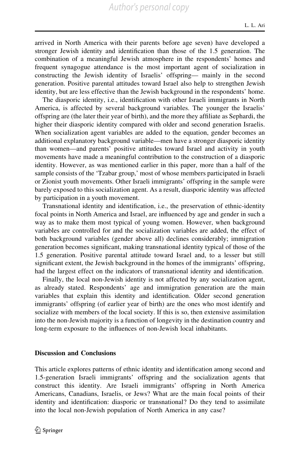arrived in North America with their parents before age seven) have developed a stronger Jewish identity and identification than those of the 1.5 generation. The combination of a meaningful Jewish atmosphere in the respondents' homes and frequent synagogue attendance is the most important agent of socialization in constructing the Jewish identity of Israelis' offspring— mainly in the second generation. Positive parental attitudes toward Israel also help to strengthen Jewish identity, but are less effective than the Jewish background in the respondents' home.

The diasporic identity, i.e., identification with other Israeli immigrants in North America, is affected by several background variables. The younger the Israelis' offspring are (the later their year of birth), and the more they affiliate as Sephardi, the higher their diasporic identity compared with older and second generation Israelis. When socialization agent variables are added to the equation, gender becomes an additional explanatory background variable—men have a stronger diasporic identity than women—and parents' positive attitudes toward Israel and activity in youth movements have made a meaningful contribution to the construction of a diasporic identity. However, as was mentioned earlier in this paper, more than a half of the sample consists of the 'Tzabar group,' most of whose members participated in Israeli or Zionist youth movements. Other Israeli immigrants' offspring in the sample were barely exposed to this socialization agent. As a result, diasporic identity was affected by participation in a youth movement.

Transnational identity and identification, i.e., the preservation of ethnic-identity focal points in North America and Israel, are influenced by age and gender in such a way as to make them most typical of young women. However, when background variables are controlled for and the socialization variables are added, the effect of both background variables (gender above all) declines considerably; immigration generation becomes significant, making transnational identity typical of those of the 1.5 generation. Positive parental attitude toward Israel and, to a lesser but still significant extent, the Jewish background in the homes of the immigrants' offspring, had the largest effect on the indicators of transnational identity and identification.

Finally, the local non-Jewish identity is not affected by any socialization agent, as already stated. Respondents' age and immigration generation are the main variables that explain this identity and identification. Older second generation immigrants' offspring (of earlier year of birth) are the ones who most identify and socialize with members of the local society. If this is so, then extensive assimilation into the non-Jewish majority is a function of longevity in the destination country and long-term exposure to the influences of non-Jewish local inhabitants.

## Discussion and Conclusions

This article explores patterns of ethnic identity and identification among second and 1.5-generation Israeli immigrants' offspring and the socialization agents that construct this identity. Are Israeli immigrants' offspring in North America Americans, Canadians, Israelis, or Jews? What are the main focal points of their identity and identification: diasporic or transnational? Do they tend to assimilate into the local non-Jewish population of North America in any case?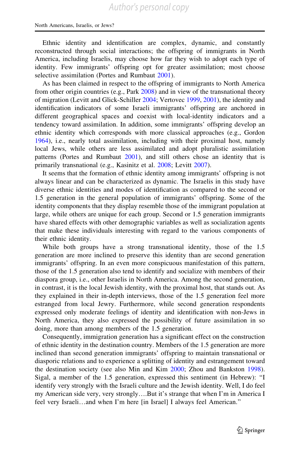Ethnic identity and identification are complex, dynamic, and constantly reconstructed through social interactions; the offspring of immigrants in North America, including Israelis, may choose how far they wish to adopt each type of identity. Few immigrants' offspring opt for greater assimilation; most choose selective assimilation (Portes and Rumbaut [2001\)](#page-24-0).

As has been claimed in respect to the offspring of immigrants to North America from other origin countries (e.g., Park [2008](#page-24-0)) and in view of the transnational theory of migration (Levitt and Glick-Schiller [2004;](#page-23-0) Vertovec [1999](#page-24-0), [2001\)](#page-24-0), the identity and identification indicators of some Israeli immigrants' offspring are anchored in different geographical spaces and coexist with local-identity indicators and a tendency toward assimilation. In addition, some immigrants' offspring develop an ethnic identity which corresponds with more classical approaches (e.g., Gordon [1964\)](#page-23-0), i.e., nearly total assimilation, including with their proximal host, namely local Jews, while others are less assimilated and adopt pluralistic assimilation patterns (Portes and Rumbaut [2001\)](#page-24-0), and still others chose an identity that is primarily transnational (e.g., Kasinitz et al. [2008;](#page-23-0) Levitt [2007](#page-23-0)).

It seems that the formation of ethnic identity among immigrants' offspring is not always linear and can be characterized as dynamic. The Israelis in this study have diverse ethnic identities and modes of identification as compared to the second or 1.5 generation in the general population of immigrants' offspring. Some of the identity components that they display resemble those of the immigrant population at large, while others are unique for each group. Second or 1.5 generation immigrants have shared effects with other demographic variables as well as socialization agents that make these individuals interesting with regard to the various components of their ethnic identity.

While both groups have a strong transnational identity, those of the 1.5 generation are more inclined to preserve this identity than are second generation immigrants' offspring. In an even more conspicuous manifestation of this pattern, those of the 1.5 generation also tend to identify and socialize with members of their diaspora group, i.e., other Israelis in North America. Among the second generation, in contrast, it is the local Jewish identity, with the proximal host, that stands out. As they explained in their in-depth interviews, those of the 1.5 generation feel more estranged from local Jewry. Furthermore, while second generation respondents expressed only moderate feelings of identity and identification with non-Jews in North America, they also expressed the possibility of future assimilation in so doing, more than among members of the 1.5 generation.

Consequently, immigration generation has a significant effect on the construction of ethnic identity in the destination country. Members of the 1.5 generation are more inclined than second generation immigrants' offspring to maintain transnational or diasporic relations and to experience a splitting of identity and estrangement toward the destination society (see also Min and Kim [2000;](#page-23-0) Zhou and Bankston [1998\)](#page-25-0). Sigal, a member of the 1.5 generation, expressed this sentiment (in Hebrew): ''I identify very strongly with the Israeli culture and the Jewish identity. Well, I do feel my American side very, very strongly….But it's strange that when I'm in America I feel very Israeli…and when I'm here [in Israel] I always feel American.''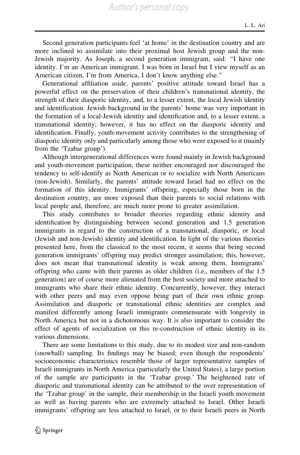Second generation participants feel 'at home' in the destination country and are more inclined to assimilate into their proximal host Jewish group and the non-Jewish majority. As Joseph, a second generation immigrant, said: ''I have one identity. I'm an American immigrant. I was born in Israel but I view myself as an American citizen, I'm from America, I don't know anything else.''

Generational affiliation aside, parents' positive attitude toward Israel has a powerful effect on the preservation of their children's transnational identity, the strength of their diasporic identity, and, to a lesser extent, the local Jewish identity and identification. Jewish background in the parents' home was very important in the formation of a local-Jewish identity and identification and, to a lesser extent, a transnational identity; however, it has no effect on the diasporic identity and identification. Finally, youth-movement activity contributes to the strengthening of diasporic identity only and particularly among those who were exposed to it (mainly from the 'Tzabar group').

Although intergenerational differences were found mainly in Jewish background and youth-movement participation, these neither encouraged nor discouraged the tendency to self-identify as North American or to socialize with North Americans (non-Jewish). Similarly, the parents' attitude toward Israel had no effect on the formation of this identity. Immigrants' offspring, especially those born in the destination country, are more exposed than their parents to social relations with local people and, therefore, are much more prone to greater assimilation.

This study contributes to broader theories regarding ethnic identity and identification by distinguishing between second generation and 1.5 generation immigrants in regard to the construction of a transnational, diasporic, or local (Jewish and non-Jewish) identity and identification. In light of the various theories presented here, from the classical to the most recent, it seems that being second generation immigrants' offspring may predict stronger assimilation; this, however, does not mean that transnational identity is weak among them. Immigrants' offspring who came with their parents as older children (i.e., members of the 1.5 generation) are of course more alienated from the host society and more attached to immigrants who share their ethnic identity. Concurrently, however, they interact with other peers and may even oppose being part of their own ethnic group. Assimilation and diasporic or transnational ethnic identities are complex and manifest differently among Israeli immigrants commensurate with longevity in North America but not in a dichotomous way. It is also important to consider the effect of agents of socialization on this re-construction of ethnic identity in its various dimensions.

There are some limitations to this study, due to its modest size and non-random (snowball) sampling. Its findings may be biased; even though the respondents' socioeconomic characteristics resemble those of larger representative samples of Israeli immigrants in North America (particularly the United States), a large portion of the sample are participants in the 'Tzabar group.' The heightened rate of diasporic and transnational identity can be attributed to the over representation of the 'Tzabar group' in the sample, their membership in the Israeli youth movement as well as having parents who are extremely attached to Israel. Other Israeli immigrants' offspring are less attached to Israel, or to their Israeli peers in North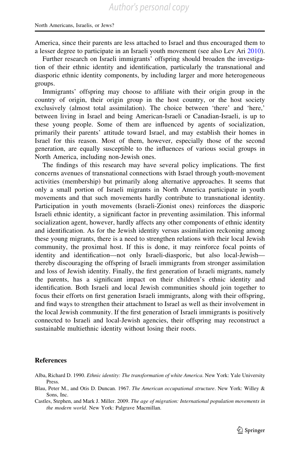<span id="page-22-0"></span>America, since their parents are less attached to Israel and thus encouraged them to a lesser degree to participate in an Israeli youth movement (see also Lev Ari [2010\)](#page-23-0).

Further research on Israeli immigrants' offspring should broaden the investigation of their ethnic identity and identification, particularly the transnational and diasporic ethnic identity components, by including larger and more heterogeneous groups.

Immigrants' offspring may choose to affiliate with their origin group in the country of origin, their origin group in the host country, or the host society exclusively (almost total assimilation). The choice between 'there' and 'here,' between living in Israel and being American-Israeli or Canadian-Israeli, is up to these young people. Some of them are influenced by agents of socialization, primarily their parents' attitude toward Israel, and may establish their homes in Israel for this reason. Most of them, however, especially those of the second generation, are equally susceptible to the influences of various social groups in North America, including non-Jewish ones.

The findings of this research may have several policy implications. The first concerns avenues of transnational connections with Israel through youth-movement activities (membership) but primarily along alternative approaches. It seems that only a small portion of Israeli migrants in North America participate in youth movements and that such movements hardly contribute to transnational identity. Participation in youth movements (Israeli-Zionist ones) reinforces the diasporic Israeli ethnic identity, a significant factor in preventing assimilation. This informal socialization agent, however, hardly affects any other components of ethnic identity and identification. As for the Jewish identity versus assimilation reckoning among these young migrants, there is a need to strengthen relations with their local Jewish community, the proximal host. If this is done, it may reinforce focal points of identity and identification—not only Israeli-diasporic, but also local-Jewish thereby discouraging the offspring of Israeli immigrants from stronger assimilation and loss of Jewish identity. Finally, the first generation of Israeli migrants, namely the parents, has a significant impact on their children's ethnic identity and identification. Both Israeli and local Jewish communities should join together to focus their efforts on first generation Israeli immigrants, along with their offspring, and find ways to strengthen their attachment to Israel as well as their involvement in the local Jewish community. If the first generation of Israeli immigrants is positively connected to Israeli and local-Jewish agencies, their offspring may reconstruct a sustainable multiethnic identity without losing their roots.

# References

Castles, Stephen, and Mark J. Miller. 2009. The age of migration: International population movements in the modern world. New York: Palgrave Macmillan.

Alba, Richard D. 1990. Ethnic identity: The transformation of white America. New York: Yale University Press.

Blau, Peter M., and Otis D. Duncan. 1967. The American occupational structure. New York: Willey & Sons, Inc.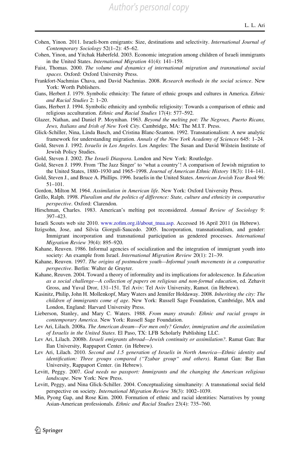- <span id="page-23-0"></span>Cohen, Yinon. 2011. Israeli-born emigrants: Size, destinations and selectivity. International Journal of Contemporary Sociology 52(1–2): 45–62.
- Cohen, Yinon, and Yitchak Haberfeld. 2003. Economic integration among children of Israeli immigrants in the United States. International Migration 41(4): 141–159.
- Faist, Thomas. 2000. The volume and dynamics of international migration and transnational social spaces. Oxford: Oxford University Press.
- Frankfort-Nachmias Chava, and David Nachmias. 2008. Research methods in the social science. New York: Worth Publishers.
- Gans, Herbert J. 1979. Symbolic ethnicity: The future of ethnic groups and cultures in America. *Ethnic* and Racial Studies 2: 1–20.
- Gans, Herbert J. 1994. Symbolic ethnicity and symbolic religiosity: Towards a comparison of ethnic and religious acculturation. Ethnic and Racial Studies 17(4): 577–592.
- Glazer, Nathan, and Daniel P. Moynihan. 1963. Beyond the melting pot: The Negroes, Puerto Ricans, Jews, Italians and Irish of New York City. Cambridge, MA: The M.I.T. Press.
- Glick-Schiller, Nina, Linda Basch, and Cristina Blanc-Szanton. 1992. Transnationalism: A new analytic framework for understanding migration. Annals of the New York Academy of Sciences 645: 1–24.
- Gold, Steven J. 1992. Israelis in Los Angeles. Los Angeles: The Susan and David Wilstein Institute of Jewish Policy Studies.
- Gold, Steven J. 2002. The Israeli Diaspora. London and New York: Routledge.
- Gold, Steven J. 1999. From 'The Jazz Singer' to 'what a country'! A comparison of Jewish migration to the United States, 1880–1930 and 1965–1998. Journal of American Ethnic History 18(3): 114–141.
- Gold, Steven J., and Bruce A. Phillips. 1996. Israelis in the United States. American Jewish Year Book 96: 51–101.
- Gordon, Milton M. 1964. Assimilation in American life. New York: Oxford University Press.
- Grillo, Ralph. 1998. Pluralism and the politics of difference: State, culture and ethnicity in comparative perspective. Oxford: Clarendon.
- Hirschman, Charles. 1983. American's melting pot reconsidered. Annual Review of Sociology 9: 397–423.
- Israeli Scouts web site 2010. [www.zofim.org.il/about\\_tnua.asp](http://www.zofim.org.il/about_tnua.asp). Accessed 16 April 2011 (in Hebrew).
- Itzigsohn, Jose, and Silvia Giorguli-Saucedo. 2005. Incorporation, transnationalism, and gender: Immigrant incorporation and transnational participation as gendered processes. International Migration Review 39(4): 895–920.
- Kahane, Reuven. 1986. Informal agencies of socialization and the integration of immigrant youth into society: An example from Israel. International Migration Review 20(1): 21-39.
- Kahane, Reuven. 1997. The origins of postmodern youth—Informal youth movements in a comparative perspective. Berlin: Walter de Gruyter.
- Kahane, Reuven. 2004. Toward a theory of informality and its implications for adolescence. In Education as a social challenge—A collection of papers on religious and non-formal education, ed. Zehavit Gross, and Yuval Dror, 131–151. Tel Aviv: Tel Aviv University, Ramot. (in Hebrew).
- Kasinitz, Philip, John H. Mollenkopf, Mary Waters and Jennifer Holdaway. 2008. Inheriting the city: The children of immigrants come of age. New York: Russell Sage Foundation, Cambridge, MA and London, England: Harvard University Press.
- Lieberson, Stanley, and Mary C. Waters. 1988. From many strands: Ethnic and racial groups in contemporary America. New York: Russell Sage Foundation.
- Lev Ari, Lilach. 2008a. The American dream—For men only? Gender, immigration and the assimilation of Israelis in the United States. El Paso, TX: LFB Scholarly Publishing LLC.
- Lev Ari, Lilach. 2008b. Israeli emigrants abroad—Jewish continuity or assimilation?. Ramat Gan: Bar Ilan University, Rappaport Center. (in Hebrew).
- Lev Ari, Lilach. 2010. Second and 1.5 generation of Israelis in North America-Ethnic identity and identification: Three groups compared ("Tzabar group" and others). Ramat Gan: Bar Ilan University, Rappaport Center. (in Hebrew).
- Levitt, Peggy. 2007. God needs no passport: Immigrants and the changing the American religious landscape. New York: New Press.
- Levitt, Peggy, and Nina Glick-Schiller. 2004. Conceptualizing simultaneity: A transnational social field perspective on society. International Migration Review 38(3): 1002–1039.
- Min, Pyong Gap, and Rose Kim. 2000. Formation of ethnic and racial identities: Narratives by young Asian-American professionals. Ethnic and Racial Studies 23(4): 735–760.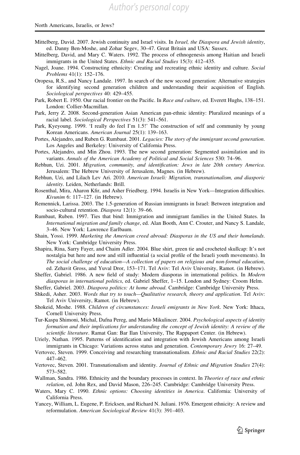- <span id="page-24-0"></span>Mittelberg, David. 2007. Jewish continuity and Israel visits. In Israel, the Diaspora and Jewish identity, ed. Danny Ben-Moshe, and Zohar Segev, 30–47. Great Britain and USA: Sussex.
- Mittelberg, David, and Mary C. Waters. 1992. The process of ethnogenesis among Haitian and Israeli immigrants in the United States. Ethnic and Racial Studies 15(3): 412–435.
- Nagel, Joane. 1994. Constructing ethnicity: Creating and recreating ethnic identity and culture. Social Problems 41(1): 152–176.
- Oropesa, R.S., and Nancy Landale. 1997. In search of the new second generation: Alternative strategies for identifying second generation children and understanding their acquisition of English. Sociological perspectives 40: 429–455.
- Park, Robert E. 1950. Our racial frontier on the Pacific. In Race and culture, ed. Everett Hughs, 138–151. London: Collier-Macmillan.
- Park, Jerry Z. 2008. Second-generation Asian American pan-ethnic identity: Pluralized meanings of a racial label. Sociological Perspectives 51(3): 541–561.
- Park, Kyeyoung. 1999. 'I really do feel I'm 1.5!' The construction of self and community by young Korean Americans. American Journal 25(1): 139–163.
- Portes, Alejandro, and Ruben G. Rumbaut. 2001. Legacies: The story of the immigrant second generation. Los Angeles and Berkeley: University of California Press.
- Portes, Alejandro, and Min Zhou. 1993. The new second generation: Segmented assimilation and its variants. Annals of the American Academy of Political and Social Sciences 530: 74–96.
- Rebhun, Uzi. 2001. Migration, community, and identification: Jews in late 20th century America. Jerusalem: The Hebrew University of Jerusalem, Magnes. (in Hebrew).
- Rebhun, Uzi, and Lilach Lev Ari. 2010. American Israeli: Migration, transnationalism, and diasporic identity. Leiden, Netherlands: Brill.
- Rosenthal, Mira, Aharon Kfir, and Asher Friedberg. 1994. Israelis in New York—Integration difficulties. Kivunim 6: 117–127. (in Hebrew).
- Remennick, Larissa. 2003. The 1.5-generation of Russian immigrants in Israel: Between integration and socio-cultural retention. Diaspora 12(1): 39–66.
- Rumbaut, Ruben. 1997. Ties that bind: Immigration and immigrant families in the United States. In International migration and family change, ed. Alan Booth, Ann C. Crouter, and Nancy S. Landale, 3–46. New York: Lawrence Earlbaum.
- Shain, Yossi. 1999. Marketing the American creed abroad: Diasporas in the US and their homelands. New York: Cambridge University Press.
- Shapira, Rina, Sarry Fayer, and Chaim Adler. 2004. Blue shirt, green tie and crocheted skullcap: It's not nostalgia but here and now and still influential (a social profile of the Israeli youth movements). In The social challenge of education—A collection of papers on religious and non-formal education, ed. Zehavit Gross, and Yuval Dror, 153–171. Tel Aviv: Tel Aviv University, Ramot. (in Hebrew).
- Sheffer, Gabriel. 1986. A new field of study: Modern diasporas in international politics. In Modern diasporas in international politics, ed. Gabriel Sheffer, 1–15. London and Sydney: Croom Helm.
- Sheffer, Gabriel. 2003. Diaspora politics: At home abroad. Cambridge: Cambridge University Press.
- Shkedi, Asher. 2003. Words that try to touch—Qualitative research, theory and application. Tel Aviv: Tel Aviv University, Ramot. (in Hebrew).
- Shokeid, Moshe. 1988. Children of circumstances: Israeli emigrants in New York. New York: Ithaca, Cornell University Press.
- Tur-Kaspa Shimoni, Michal, Dafna Pereg, and Mario Mikulincer. 2004. Psychological aspects of identity formation and their implications for understanding the concept of Jewish identity: A review of the scientific literature. Ramat Gan: Bar Ilan University, The Rappaport Center. (in Hebrew).
- Uriely, Nathan. 1995. Patterns of identification and integration with Jewish Americans among Israeli immigrants in Chicago: Variations across status and generation. Contemporary Jewry 16: 27–49.
- Vertovec, Steven. 1999. Conceiving and researching transnationalism. Ethnic and Racial Studies 22(2): 447–462.
- Vertovec, Steven. 2001. Transnationalism and identity. Journal of Ethnic and Migration Studies 27(4): 573–582.
- Wallman, Sandra. 1986. Ethnicity and the boundary processes in context. In Theories of race and ethnic relation, ed. John Rex, and David Mason, 226–245. Cambridge: Cambridge University Press.
- Waters, Mary C. 1990. Ethnic options: Choosing identities in America. California: University of California Press.
- Yancey, William, L. Eugene, P. Ericksen, and Richard N. Juliani. 1976. Emergent ethnicity: A review and reformulation. American Sociological Review 41(3): 391–403.